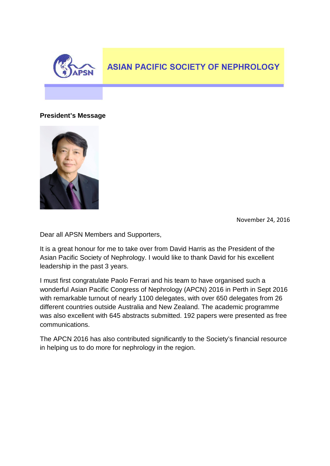

#### **President's Message**



November 24, 2016

Dear all APSN Members and Supporters,

It is a great honour for me to take over from David Harris as the President of the Asian Pacific Society of Nephrology. I would like to thank David for his excellent leadership in the past 3 years.

I must first congratulate Paolo Ferrari and his team to have organised such a wonderful Asian Pacific Congress of Nephrology (APCN) 2016 in Perth in Sept 2016 with remarkable turnout of nearly 1100 delegates, with over 650 delegates from 26 different countries outside Australia and New Zealand. The academic programme was also excellent with 645 abstracts submitted. 192 papers were presented as free communications.

The APCN 2016 has also contributed significantly to the Society's financial resource in helping us to do more for nephrology in the region.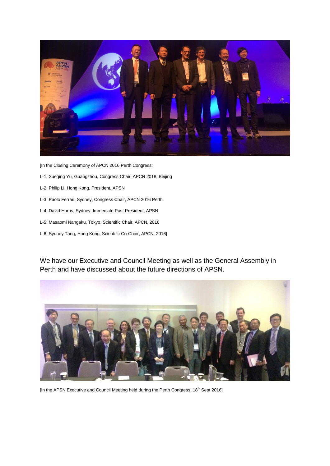

[In the Closing Ceremony of APCN 2016 Perth Congress:

- L-1: Xueqing Yu, Guangzhou, Congress Chair, APCN 2018, Beijing
- L-2: Philip Li, Hong Kong, President, APSN
- L-3: Paolo Ferrari, Sydney, Congress Chair, APCN 2016 Perth
- L-4: David Harris, Sydney, Immediate Past President, APSN
- L-5: Masaomi Nangaku, Tokyo, Scientific Chair, APCN, 2016
- L-6: Sydney Tang, Hong Kong, Scientific Co-Chair, APCN, 2016]

We have our Executive and Council Meeting as well as the General Assembly in Perth and have discussed about the future directions of APSN.



[In the APSN Executive and Council Meeting held during the Perth Congress, 18<sup>th</sup> Sept 2016]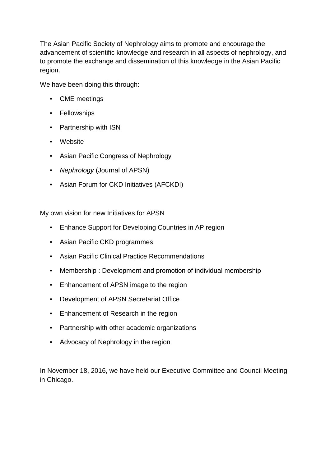The Asian Pacific Society of Nephrology aims to promote and encourage the advancement of scientific knowledge and research in all aspects of nephrology, and to promote the exchange and dissemination of this knowledge in the Asian Pacific region.

We have been doing this through:

- CME meetings
- Fellowships
- Partnership with ISN
- Website
- Asian Pacific Congress of Nephrology
- *Nephrology* (Journal of APSN)
- Asian Forum for CKD Initiatives (AFCKDI)

My own vision for new Initiatives for APSN

- Enhance Support for Developing Countries in AP region
- Asian Pacific CKD programmes
- Asian Pacific Clinical Practice Recommendations
- Membership : Development and promotion of individual membership
- Enhancement of APSN image to the region
- Development of APSN Secretariat Office
- Enhancement of Research in the region
- Partnership with other academic organizations
- Advocacy of Nephrology in the region

In November 18, 2016, we have held our Executive Committee and Council Meeting in Chicago.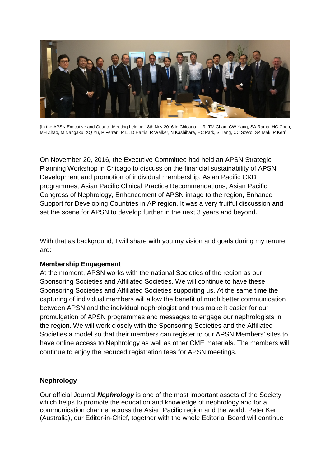

[In the APSN Executive and Council Meeting held on 18th Nov 2016 in Chicago- L-R: TM Chan, CW Yang, SA Rama, HC Chen, MH Zhao, M Nangaku, XQ Yu, P Ferrari, P Li, D Harris, R Walker, N Kashihara, HC Park, S Tang, CC Szeto, SK Mak, P Kerr]

On November 20, 2016, the Executive Committee had held an APSN Strategic Planning Workshop in Chicago to discuss on the financial sustainability of APSN, Development and promotion of individual membership, Asian Pacific CKD programmes, Asian Pacific Clinical Practice Recommendations, Asian Pacific Congress of Nephrology, Enhancement of APSN image to the region, Enhance Support for Developing Countries in AP region. It was a very fruitful discussion and set the scene for APSN to develop further in the next 3 years and beyond.

With that as background. I will share with you my vision and goals during my tenure are:

#### **Membership Engagement**

At the moment, APSN works with the national Societies of the region as our Sponsoring Societies and Affiliated Societies. We will continue to have these Sponsoring Societies and Affiliated Societies supporting us. At the same time the capturing of individual members will allow the benefit of much better communication between APSN and the individual nephrologist and thus make it easier for our promulgation of APSN programmes and messages to engage our nephrologists in the region. We will work closely with the Sponsoring Societies and the Affiliated Societies a model so that their members can register to our APSN Members' sites to have online access to Nephrology as well as other CME materials. The members will continue to enjoy the reduced registration fees for APSN meetings.

### **Nephrology**

Our official Journal *Nephrology* is one of the most important assets of the Society which helps to promote the education and knowledge of nephrology and for a communication channel across the Asian Pacific region and the world. Peter Kerr (Australia), our Editor-in-Chief, together with the whole Editorial Board will continue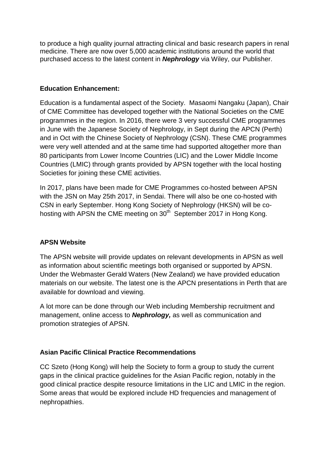to produce a high quality journal attracting clinical and basic research papers in renal medicine. There are now over 5,000 academic institutions around the world that purchased access to the latest content in *Nephrology* via Wiley, our Publisher.

## **Education Enhancement:**

Education is a fundamental aspect of the Society. Masaomi Nangaku (Japan), Chair of CME Committee has developed together with the National Societies on the CME programmes in the region. In 2016, there were 3 very successful CME programmes in June with the Japanese Society of Nephrology, in Sept during the APCN (Perth) and in Oct with the Chinese Society of Nephrology (CSN). These CME programmes were very well attended and at the same time had supported altogether more than 80 participants from Lower Income Countries (LIC) and the Lower Middle Income Countries (LMIC) through grants provided by APSN together with the local hosting Societies for joining these CME activities.

In 2017, plans have been made for CME Programmes co-hosted between APSN with the JSN on May 25th 2017, in Sendai. There will also be one co-hosted with CSN in early September. Hong Kong Society of Nephrology (HKSN) will be cohosting with APSN the CME meeting on 30<sup>th</sup> September 2017 in Hong Kong.

### **APSN Website**

The APSN website will provide updates on relevant developments in APSN as well as information about scientific meetings both organised or supported by APSN. Under the Webmaster Gerald Waters (New Zealand) we have provided education materials on our website. The latest one is the APCN presentations in Perth that are available for download and viewing.

A lot more can be done through our Web including Membership recruitment and management, online access to *Nephrology,* as well as communication and promotion strategies of APSN.

### **Asian Pacific Clinical Practice Recommendations**

CC Szeto (Hong Kong) will help the Society to form a group to study the current gaps in the clinical practice guidelines for the Asian Pacific region, notably in the good clinical practice despite resource limitations in the LIC and LMIC in the region. Some areas that would be explored include HD frequencies and management of nephropathies.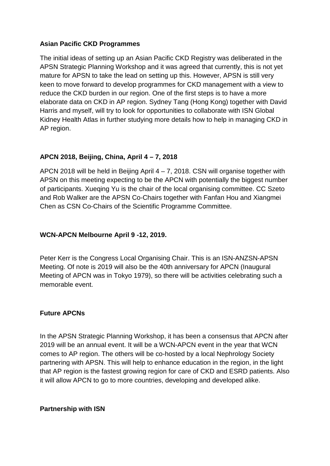#### **Asian Pacific CKD Programmes**

The initial ideas of setting up an Asian Pacific CKD Registry was deliberated in the APSN Strategic Planning Workshop and it was agreed that currently, this is not yet mature for APSN to take the lead on setting up this. However, APSN is still very keen to move forward to develop programmes for CKD management with a view to reduce the CKD burden in our region. One of the first steps is to have a more elaborate data on CKD in AP region. Sydney Tang (Hong Kong) together with David Harris and myself, will try to look for opportunities to collaborate with ISN Global Kidney Health Atlas in further studying more details how to help in managing CKD in AP region.

# **APCN 2018, Beijing, China, April 4 – 7, 2018**

APCN 2018 will be held in Beijing April  $4 - 7$ , 2018. CSN will organise together with APSN on this meeting expecting to be the APCN with potentially the biggest number of participants. Xueqing Yu is the chair of the local organising committee. CC Szeto and Rob Walker are the APSN Co-Chairs together with Fanfan Hou and Xiangmei Chen as CSN Co-Chairs of the Scientific Programme Committee.

### **WCN-APCN Melbourne April 9 -12, 2019.**

Peter Kerr is the Congress Local Organising Chair. This is an ISN-ANZSN-APSN Meeting. Of note is 2019 will also be the 40th anniversary for APCN (Inaugural Meeting of APCN was in Tokyo 1979), so there will be activities celebrating such a memorable event.

### **Future APCNs**

In the APSN Strategic Planning Workshop, it has been a consensus that APCN after 2019 will be an annual event. It will be a WCN-APCN event in the year that WCN comes to AP region. The others will be co-hosted by a local Nephrology Society partnering with APSN. This will help to enhance education in the region, in the light that AP region is the fastest growing region for care of CKD and ESRD patients. Also it will allow APCN to go to more countries, developing and developed alike.

**Partnership with ISN**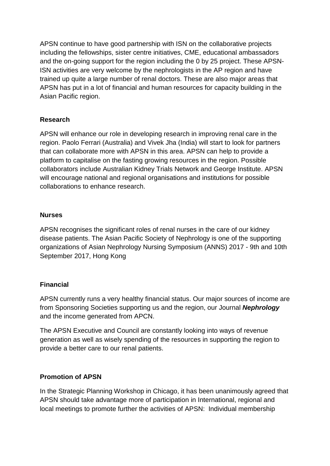APSN continue to have good partnership with ISN on the collaborative projects including the fellowships, sister centre initiatives, CME, educational ambassadors and the on-going support for the region including the 0 by 25 project. These APSN-ISN activities are very welcome by the nephrologists in the AP region and have trained up quite a large number of renal doctors. These are also major areas that APSN has put in a lot of financial and human resources for capacity building in the Asian Pacific region.

## **Research**

APSN will enhance our role in developing research in improving renal care in the region. Paolo Ferrari (Australia) and Vivek Jha (India) will start to look for partners that can collaborate more with APSN in this area. APSN can help to provide a platform to capitalise on the fasting growing resources in the region. Possible collaborators include Australian Kidney Trials Network and George Institute. APSN will encourage national and regional organisations and institutions for possible collaborations to enhance research.

### **Nurses**

APSN recognises the significant roles of renal nurses in the care of our kidney disease patients. The Asian Pacific Society of Nephrology is one of the supporting organizations of Asian Nephrology Nursing Symposium (ANNS) 2017 - 9th and 10th September 2017, Hong Kong

### **Financial**

APSN currently runs a very healthy financial status. Our major sources of income are from Sponsoring Societies supporting us and the region, our Journal *Nephrology* and the income generated from APCN.

The APSN Executive and Council are constantly looking into ways of revenue generation as well as wisely spending of the resources in supporting the region to provide a better care to our renal patients.

### **Promotion of APSN**

In the Strategic Planning Workshop in Chicago, it has been unanimously agreed that APSN should take advantage more of participation in International, regional and local meetings to promote further the activities of APSN: Individual membership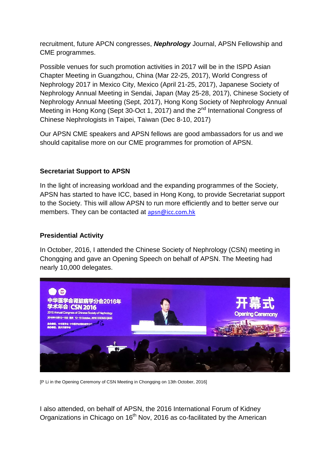recruitment, future APCN congresses, *Nephrology* Journal, APSN Fellowship and CME programmes.

Possible venues for such promotion activities in 2017 will be in the ISPD Asian Chapter Meeting in Guangzhou, China (Mar 22-25, 2017), World Congress of Nephrology 2017 in Mexico City, Mexico (April 21-25, 2017), Japanese Society of Nephrology Annual Meeting in Sendai, Japan (May 25-28, 2017), Chinese Society of Nephrology Annual Meeting (Sept, 2017), Hong Kong Society of Nephrology Annual Meeting in Hong Kong (Sept 30-Oct 1, 2017) and the 2<sup>nd</sup> International Congress of Chinese Nephrologists in Taipei, Taiwan (Dec 8-10, 2017)

Our APSN CME speakers and APSN fellows are good ambassadors for us and we should capitalise more on our CME programmes for promotion of APSN.

### **Secretariat Support to APSN**

In the light of increasing workload and the expanding programmes of the Society, APSN has started to have ICC, based in Hong Kong, to provide Secretariat support to the Society. This will allow APSN to run more efficiently and to better serve our members. They can be contacted at [apsn@icc.com.hk](mailto:apsn@icc.com.hk)

## **Presidential Activity**

In October, 2016, I attended the Chinese Society of Nephrology (CSN) meeting in Chongqing and gave an Opening Speech on behalf of APSN. The Meeting had nearly 10,000 delegates.



[P Li in the Opening Ceremony of CSN Meeting in Chongqing on 13th October, 2016]

I also attended, on behalf of APSN, the 2016 International Forum of Kidney Organizations in Chicago on 16<sup>th</sup> Nov, 2016 as co-facilitated by the American